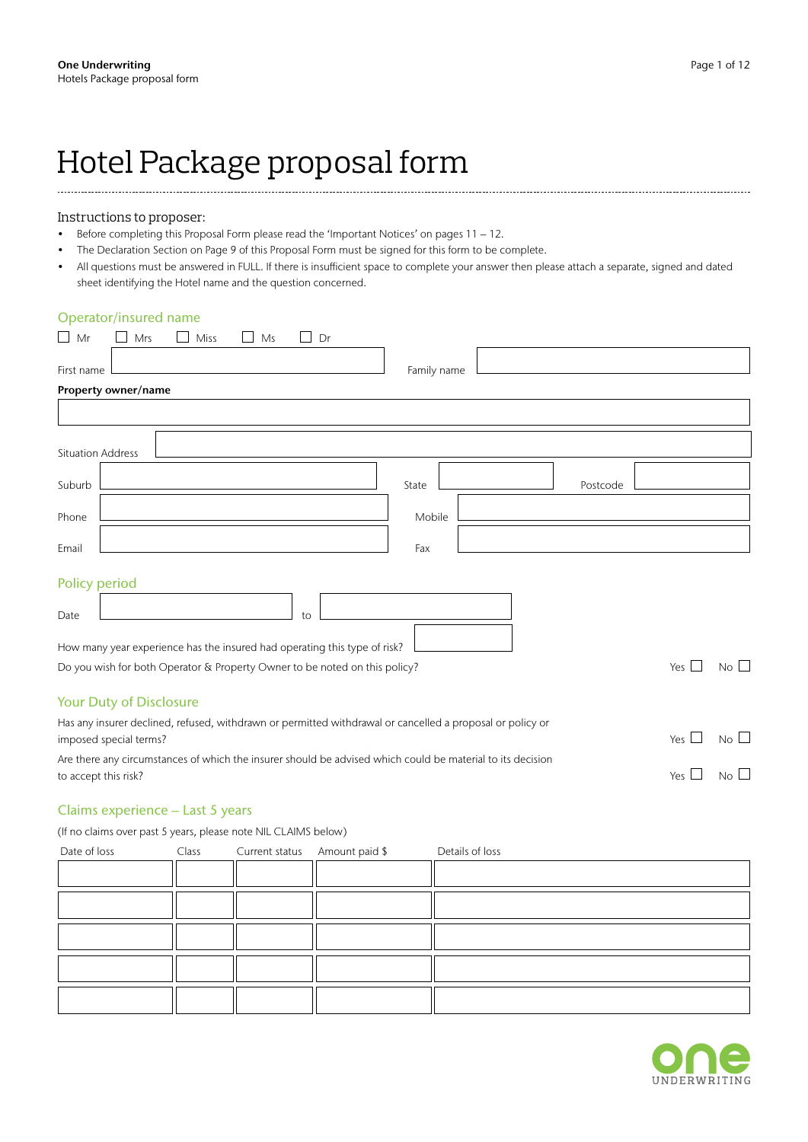# Hotel Package proposal form

#### Instructions to proposer:

- Before completing this Proposal Form please read the 'Important Notices' on pages 11 12.
- The Declaration Section on Page 9 of this Proposal Form must be signed for this form to be complete.
- All questions must be answered in FULL. If there is insufficient space to complete your answer then please attach a separate, signed and dated sheet identifying the Hotel name and the question concerned.

# Operator/insured name

| Mr<br>Mrs<br>Dr<br>Miss<br>Ms                                                                                                       |                   |            |             |
|-------------------------------------------------------------------------------------------------------------------------------------|-------------------|------------|-------------|
| First name                                                                                                                          | Family name       |            |             |
| Property owner/name                                                                                                                 |                   |            |             |
|                                                                                                                                     |                   |            |             |
| <b>Situation Address</b>                                                                                                            |                   |            |             |
| Suburb                                                                                                                              | State<br>Postcode |            |             |
| Phone                                                                                                                               | Mobile            |            |             |
| Email                                                                                                                               | Fax               |            |             |
| Policy period                                                                                                                       |                   |            |             |
| Date<br>to                                                                                                                          |                   |            |             |
| How many year experience has the insured had operating this type of risk?                                                           |                   |            |             |
| Do you wish for both Operator & Property Owner to be noted on this policy?                                                          |                   | Yes $\Box$ | $No$ $\Box$ |
| Your Duty of Disclosure                                                                                                             |                   |            |             |
| Has any insurer declined, refused, withdrawn or permitted withdrawal or cancelled a proposal or policy or<br>imposed special terms? |                   | Yes $\Box$ | $No$ $\Box$ |
| Are there any circumstances of which the insurer should be advised which could be material to its decision<br>to accept this risk?  |                   | Yes $\Box$ | $No$ $\Box$ |

## Claims experience – Last 5 years

(If no claims over past 5 years, please note NIL CLAIMS below)

| Date of loss |  | Class Current status Amount paid \$ | Details of loss |
|--------------|--|-------------------------------------|-----------------|
|              |  |                                     |                 |
|              |  |                                     |                 |
|              |  |                                     |                 |
|              |  |                                     |                 |
|              |  |                                     |                 |
|              |  |                                     |                 |

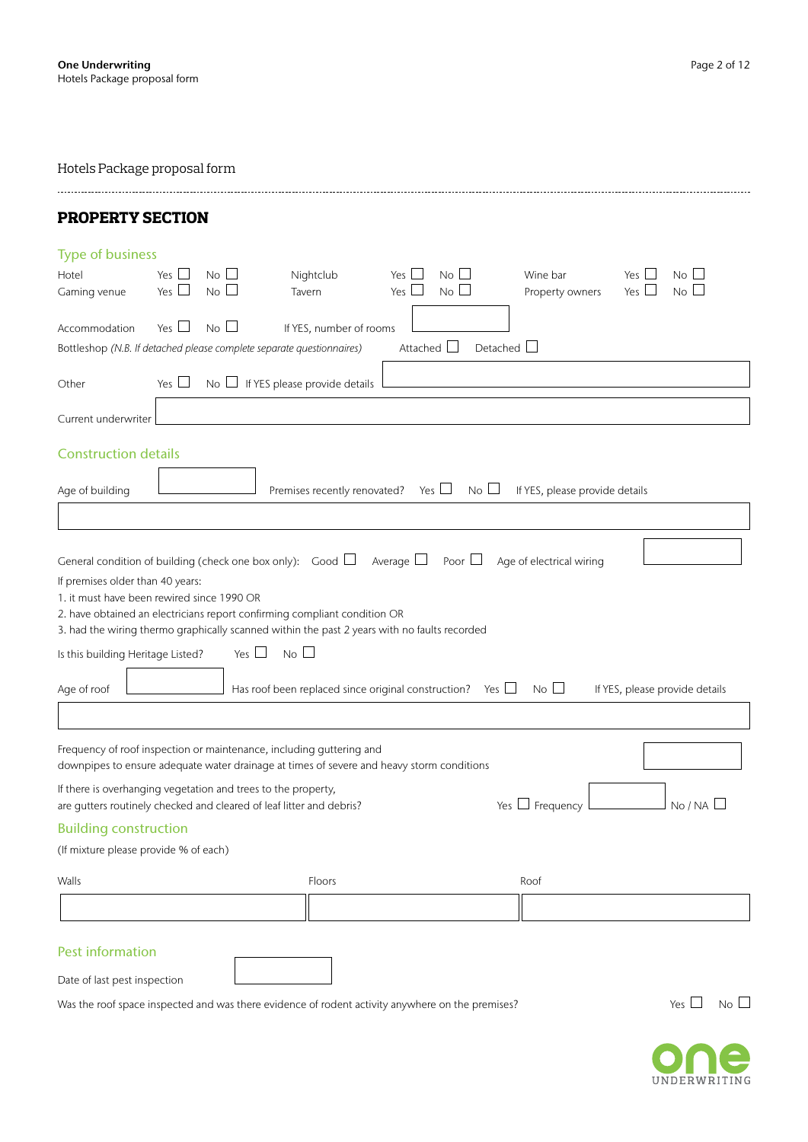| <b>PROPERTY SECTION</b>                                                                                                                                                                                                                                                                                                                                                                                                                                       |
|---------------------------------------------------------------------------------------------------------------------------------------------------------------------------------------------------------------------------------------------------------------------------------------------------------------------------------------------------------------------------------------------------------------------------------------------------------------|
| <b>Type of business</b>                                                                                                                                                                                                                                                                                                                                                                                                                                       |
| $No$ $\Box$<br>Yes $\Box$<br>Nightclub<br>Yes  <br>$No$ $\Box$<br>Wine bar<br>$No \Box$<br>Hotel<br>$\overline{\phantom{a}}$<br>Yes $\Box$<br>Yes $\Box$<br>$\Box$<br>No<br>$\vert \ \ \vert$<br>No I<br>Tavern<br>Yes  <br>Property owners<br>No L<br>Gaming venue<br>Yes $\Box$                                                                                                                                                                             |
| No <sup>2</sup><br>Yes $\Box$<br>Accommodation<br>If YES, number of rooms<br>Attached L<br>Detached $\Box$<br>Bottleshop (N.B. If detached please complete separate questionnaires)                                                                                                                                                                                                                                                                           |
| Yes $\Box$<br>$\overline{\phantom{a}}$ If YES please provide details<br>Other                                                                                                                                                                                                                                                                                                                                                                                 |
| Current underwriter                                                                                                                                                                                                                                                                                                                                                                                                                                           |
| <b>Construction details</b>                                                                                                                                                                                                                                                                                                                                                                                                                                   |
| Yes $\Box$<br>$No$ $\Box$<br>Age of building<br>Premises recently renovated?<br>If YES, please provide details                                                                                                                                                                                                                                                                                                                                                |
|                                                                                                                                                                                                                                                                                                                                                                                                                                                               |
| If premises older than 40 years:<br>1. it must have been rewired since 1990 OR<br>2. have obtained an electricians report confirming compliant condition OR<br>3. had the wiring thermo graphically scanned within the past 2 years with no faults recorded<br>$No \Box$<br>Is this building Heritage Listed?<br>Yes $\Box$<br>Has roof been replaced since original construction? Yes $\Box$<br>$No$ $\Box$<br>Age of roof<br>If YES, please provide details |
| Frequency of roof inspection or maintenance, including guttering and<br>downpipes to ensure adequate water drainage at times of severe and heavy storm conditions                                                                                                                                                                                                                                                                                             |
| If there is overhanging vegetation and trees to the property,<br>No/NA<br>Yes $\Box$ Frequency<br>are gutters routinely checked and cleared of leaf litter and debris?                                                                                                                                                                                                                                                                                        |
| <b>Building construction</b>                                                                                                                                                                                                                                                                                                                                                                                                                                  |
| (If mixture please provide % of each)                                                                                                                                                                                                                                                                                                                                                                                                                         |
| Walls<br>Floors<br>Roof                                                                                                                                                                                                                                                                                                                                                                                                                                       |
|                                                                                                                                                                                                                                                                                                                                                                                                                                                               |
| <b>Pest information</b>                                                                                                                                                                                                                                                                                                                                                                                                                                       |
| Date of last pest inspection                                                                                                                                                                                                                                                                                                                                                                                                                                  |
| Yes $\Box$<br>$No$ $\Box$<br>Was the roof space inspected and was there evidence of rodent activity anywhere on the premises?                                                                                                                                                                                                                                                                                                                                 |

UNDERWRITING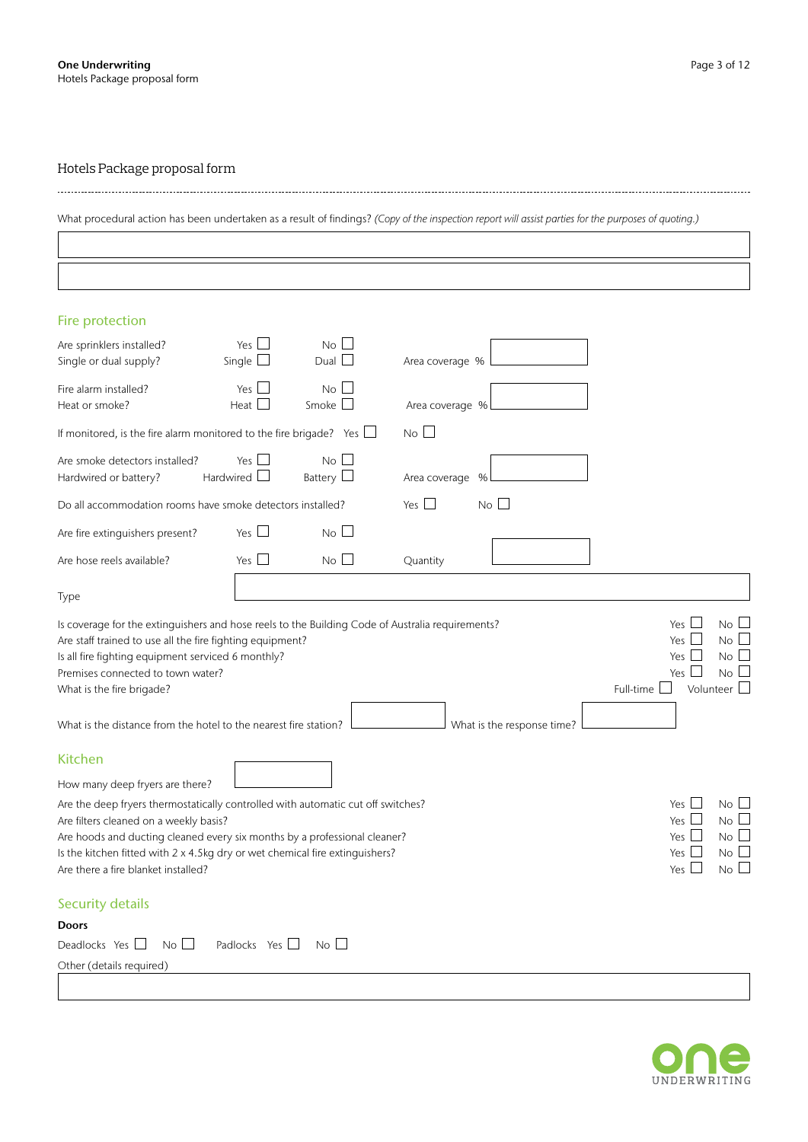What procedural action has been undertaken as a result of findings? *(Copy of the inspection report will assist parties for the purposes of quoting.)*

| Fire protection                                                                                                                                                                                                                                                                                                                |                                   |                               |                 |                            |                                                                                                                                                       |
|--------------------------------------------------------------------------------------------------------------------------------------------------------------------------------------------------------------------------------------------------------------------------------------------------------------------------------|-----------------------------------|-------------------------------|-----------------|----------------------------|-------------------------------------------------------------------------------------------------------------------------------------------------------|
| Are sprinklers installed?<br>Single or dual supply?                                                                                                                                                                                                                                                                            | Yes $\Box$<br>Single $\Box$       | $\overline{N_{0}}$<br>Dual    | Area coverage % |                            |                                                                                                                                                       |
| Fire alarm installed?<br>Heat or smoke?                                                                                                                                                                                                                                                                                        | Yes $\Box$<br>Heat $\square$      | No L<br>Smoke $\Box$          | Area coverage % |                            |                                                                                                                                                       |
| If monitored, is the fire alarm monitored to the fire brigade? Yes $\Box$                                                                                                                                                                                                                                                      |                                   |                               | $No$ $\Box$     |                            |                                                                                                                                                       |
| Are smoke detectors installed?<br>Hardwired or battery?                                                                                                                                                                                                                                                                        | Yes $\Box$<br>Hardwired $\square$ | $No$ $\Box$<br>Battery $\Box$ | Area coverage % |                            |                                                                                                                                                       |
| Do all accommodation rooms have smoke detectors installed?                                                                                                                                                                                                                                                                     |                                   |                               | Yes $\Box$      | No                         |                                                                                                                                                       |
| Are fire extinguishers present?                                                                                                                                                                                                                                                                                                | Yes $\Box$                        | $No$ $\Box$                   |                 |                            |                                                                                                                                                       |
| Are hose reels available?                                                                                                                                                                                                                                                                                                      | Yes $\Box$                        | No                            | Quantity        |                            |                                                                                                                                                       |
| Type                                                                                                                                                                                                                                                                                                                           |                                   |                               |                 |                            |                                                                                                                                                       |
| Is coverage for the extinguishers and hose reels to the Building Code of Australia requirements?<br>Are staff trained to use all the fire fighting equipment?<br>Is all fire fighting equipment serviced 6 monthly?<br>Premises connected to town water?<br>What is the fire brigade?                                          |                                   |                               |                 |                            | Yes $\Box$<br>No<br>Yes $\Box$<br>No I<br>Yes $\Box$<br>No L<br>Yes $\Box$<br>No l<br>Full-time $\Box$<br>Volunteer                                   |
| What is the distance from the hotel to the nearest fire station?                                                                                                                                                                                                                                                               |                                   |                               |                 | What is the response time? |                                                                                                                                                       |
| <b>Kitchen</b>                                                                                                                                                                                                                                                                                                                 |                                   |                               |                 |                            |                                                                                                                                                       |
| How many deep fryers are there?                                                                                                                                                                                                                                                                                                |                                   |                               |                 |                            |                                                                                                                                                       |
| Are the deep fryers thermostatically controlled with automatic cut off switches?<br>Are filters cleaned on a weekly basis?<br>Are hoods and ducting cleaned every six months by a professional cleaner?<br>Is the kitchen fitted with 2 x 4.5kg dry or wet chemical fire extinguishers?<br>Are there a fire blanket installed? |                                   |                               |                 |                            | Yes $\Box$<br>$No$ $\Box$<br>Yes $\Box$<br>No <sub>l</sub><br>Yes $\Box$<br>No <sub>1</sub><br>Yes $\Box$<br>$No$ $\Box$<br>$\mathbf{L}$<br>Yes<br>No |
| <b>Security details</b>                                                                                                                                                                                                                                                                                                        |                                   |                               |                 |                            |                                                                                                                                                       |
| <b>Doors</b>                                                                                                                                                                                                                                                                                                                   |                                   |                               |                 |                            |                                                                                                                                                       |
| $No$ $\Box$<br>Deadlocks Yes $\Box$                                                                                                                                                                                                                                                                                            | Padlocks Yes $\Box$ No $\Box$     |                               |                 |                            |                                                                                                                                                       |
| Other (details required)                                                                                                                                                                                                                                                                                                       |                                   |                               |                 |                            |                                                                                                                                                       |
|                                                                                                                                                                                                                                                                                                                                |                                   |                               |                 |                            |                                                                                                                                                       |

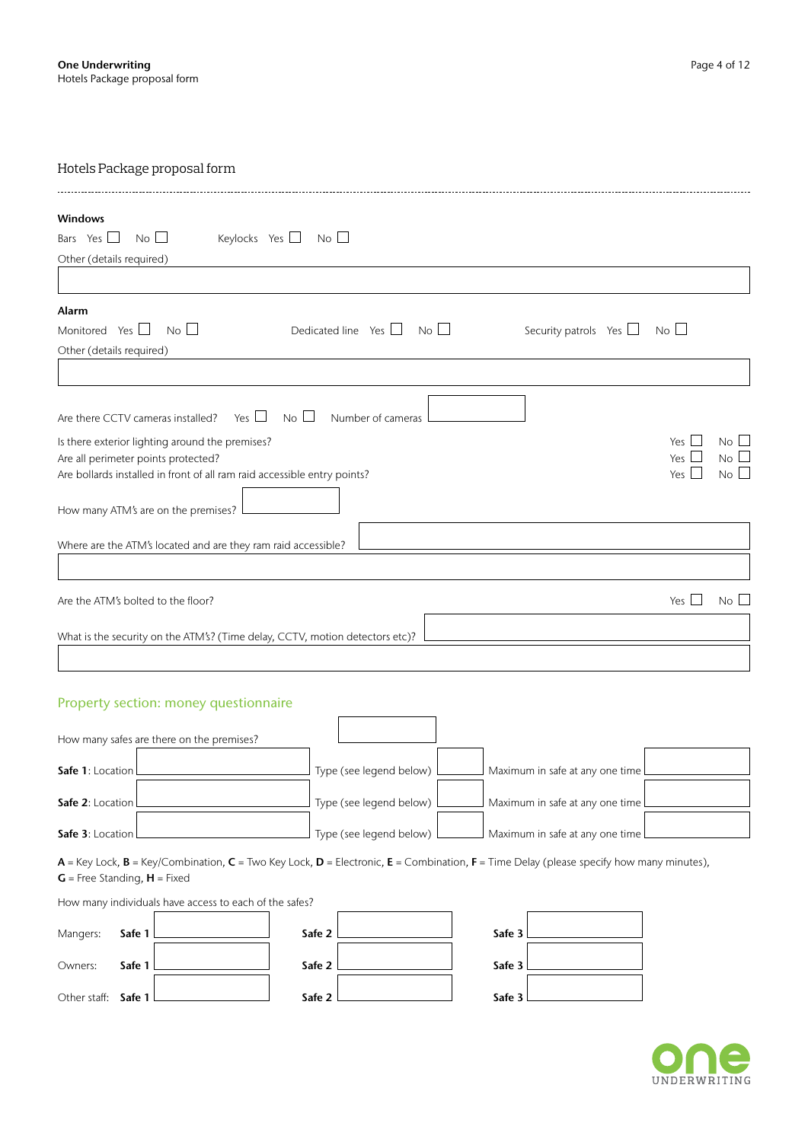| <b>Windows</b>                                                                                               |                 |             |
|--------------------------------------------------------------------------------------------------------------|-----------------|-------------|
| $\overline{\phantom{a}}$ No $\Box$<br>Keylocks Yes $\Box$ No $\Box$<br>Bars Yes $\Box$                       |                 |             |
| Other (details required)                                                                                     |                 |             |
|                                                                                                              |                 |             |
| Alarm                                                                                                        |                 |             |
| $No$ $\Box$<br>Dedicated line Yes $\Box$ No $\Box$<br>Monitored Yes $\square$<br>Security patrols Yes $\Box$ | $No$ $\Box$     |             |
| Other (details required)                                                                                     |                 |             |
|                                                                                                              |                 |             |
|                                                                                                              |                 |             |
| Are there CCTV cameras installed? Yes $\Box$<br>No <sup>2</sup><br>Number of cameras                         |                 |             |
| Is there exterior lighting around the premises?                                                              | Yes I           | No          |
| Are all perimeter points protected?                                                                          | Yes $\Box$      | $No$ $\Box$ |
| Are bollards installed in front of all ram raid accessible entry points?                                     | Yes $\Box$      | $No$ $\Box$ |
| How many ATM's are on the premises?                                                                          |                 |             |
|                                                                                                              |                 |             |
| Where are the ATM's located and are they ram raid accessible?                                                |                 |             |
|                                                                                                              |                 |             |
|                                                                                                              |                 |             |
| Are the ATM's bolted to the floor?                                                                           | Yes I<br>$\sim$ | No L        |
| What is the security on the ATM's? (Time delay, CCTV, motion detectors etc)?                                 |                 |             |
|                                                                                                              |                 |             |
|                                                                                                              |                 |             |

# Property section: money questionnaire

| How many safes are there on the premises? |                           |                                   |  |
|-------------------------------------------|---------------------------|-----------------------------------|--|
| <b>Safe 1:</b> Location L                 | Type (see legend below) l | Maximum in safe at any one time L |  |
| <b>Safe 2:</b> Location L                 | Type (see legend below)   | Maximum in safe at any one time L |  |
| Safe 3: Location L                        | Type (see legend below) L | Maximum in safe at any one time l |  |

 $A =$  Key Lock,  $B =$  Key/Combination,  $C =$  Two Key Lock,  $D =$  Electronic,  $E =$  Combination,  $F =$  Time Delay (please specify how many minutes),  $G$  = Free Standing,  $H$  = Fixed

## How many individuals have access to each of the safes?

| Mangers:              | Safe 1 L         | the contract of the contract of the | Safe 2 L         | Safe 3        |  |
|-----------------------|------------------|-------------------------------------|------------------|---------------|--|
| Owners:               | Safe 1 $\lfloor$ |                                     | Safe 2 $\lfloor$ | Safe 3        |  |
| Other staff: $Safe 1$ |                  |                                     | Safe 2 $\Box$    | Safe $3\perp$ |  |

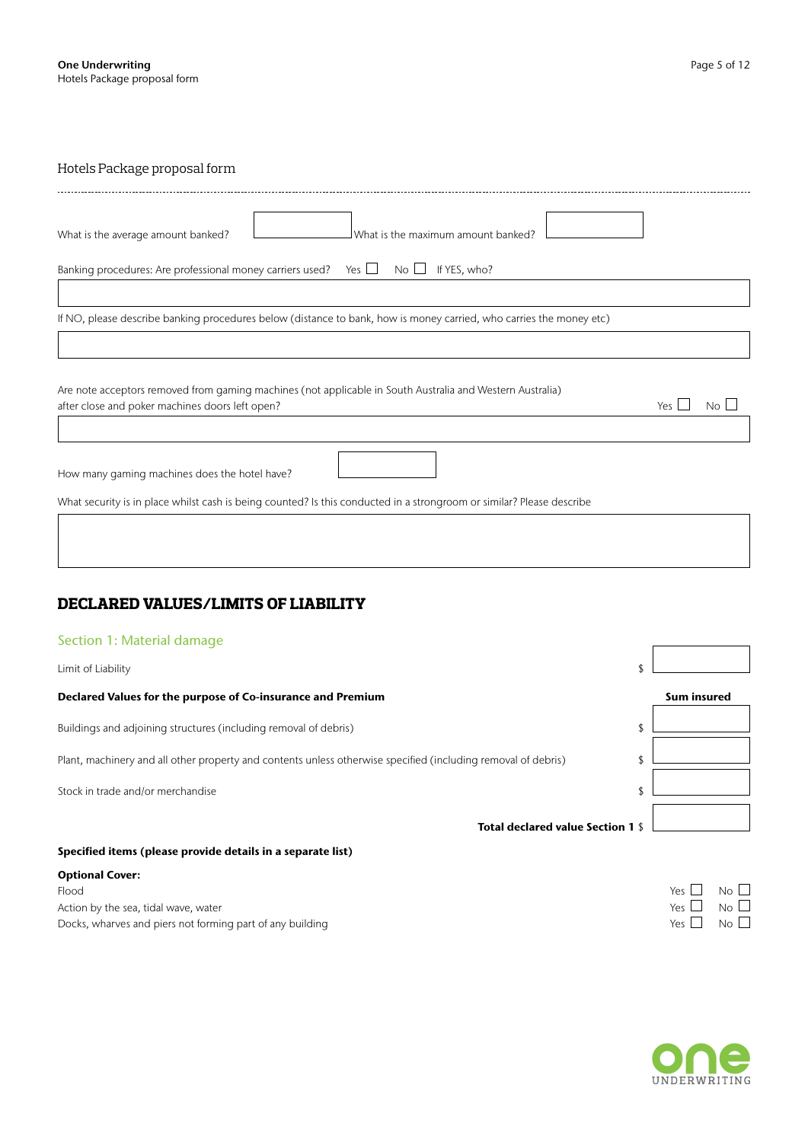| What is the maximum amount banked?<br>What is the average amount banked?                                              |
|-----------------------------------------------------------------------------------------------------------------------|
| If YES, who?<br>Banking procedures: Are professional money carriers used? Yes $\Box$<br>$\overline{N}$ o $\Box$       |
|                                                                                                                       |
| If NO, please describe banking procedures below (distance to bank, how is money carried, who carries the money etc)   |
|                                                                                                                       |
|                                                                                                                       |
| Are note acceptors removed from gaming machines (not applicable in South Australia and Western Australia)             |
| after close and poker machines doors left open?<br>Yes I<br>No L                                                      |
|                                                                                                                       |
| How many gaming machines does the hotel have?                                                                         |
| What security is in place whilst cash is being counted? Is this conducted in a strongroom or similar? Please describe |

# **DECLARED VALUES/LIMITS OF LIABILITY**

# Section 1: Material damage

| Limit of Liability                                                                                            |                    |
|---------------------------------------------------------------------------------------------------------------|--------------------|
| Declared Values for the purpose of Co-insurance and Premium                                                   | <b>Sum insured</b> |
| Buildings and adjoining structures (including removal of debris)                                              |                    |
| Plant, machinery and all other property and contents unless otherwise specified (including removal of debris) |                    |
| Stock in trade and/or merchandise                                                                             |                    |
| Total declared value Section 1 \$                                                                             |                    |

# Specified items (please provide details in a separate list)

## Optional Cover:

Flood<br>  $\begin{array}{ccc}\n\text{F1} & \text{F2} & \text{F3} \\
\text{F1} & \text{F2} & \text{F3} \\
\text{F2} & \text{F4} & \text{F5} \\
\text{D} & \text{F5} & \text{N0} \\
\end{array}$   $\begin{array}{ccc}\n\text{F2} & \text{F3} & \text{N0} \\
\text{N1} & \text{N2} & \text{N2} \\
\end{array}$   $\begin{array}{ccc}\n\text{F1} & \text{F2} & \text{N1} \\
\text{N2} & \text{N2} & \text{N2} \\
\end{array}$ Action by the sea, tidal wave, water Docks, wharves and piers not forming part of any building



٦

 $\Gamma$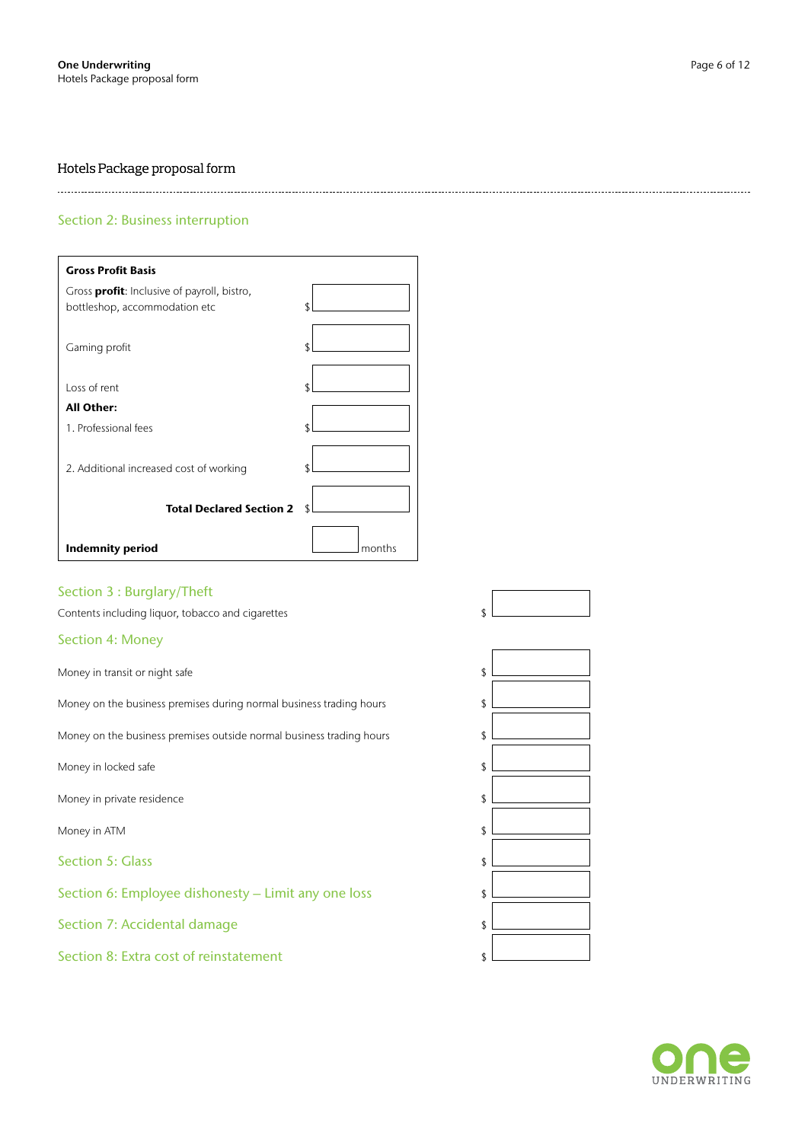#### 

# Section 2: Business interruption

| <b>Gross Profit Basis</b>                           |        |
|-----------------------------------------------------|--------|
| Gross <b>profit</b> : Inclusive of payroll, bistro, |        |
| bottleshop, accommodation etc                       |        |
| Gaming profit                                       | ፍ      |
| Loss of rent                                        | ፍ      |
| <b>All Other:</b>                                   |        |
| 1. Professional fees                                | ፍ      |
| 2. Additional increased cost of working             |        |
| <b>Total Declared Section 2</b>                     |        |
| <b>Indemnity period</b>                             | months |

# Section 3 : Burglary/Theft

Contents including liquor, tobacco and cigarettes  $\{ \}$ 

## Section 4: Money

Money in transit or night safe \$

Money on the business premises during normal business trading hours \$

Money on the business premises outside normal business trading hours \$

Money in locked safe

Money in private residence

Money in ATM \$

Section 5: Glass

Section 6: Employee dishonesty – Limit any one loss \$

Section 7: Accidental damage

Section 8: Extra cost of reinstatement

| Ψ  |  |
|----|--|
|    |  |
| \$ |  |
|    |  |
| \$ |  |
| \$ |  |
| \$ |  |
|    |  |
| \$ |  |
| \$ |  |
| \$ |  |
|    |  |
| \$ |  |
| \$ |  |
| \$ |  |
|    |  |

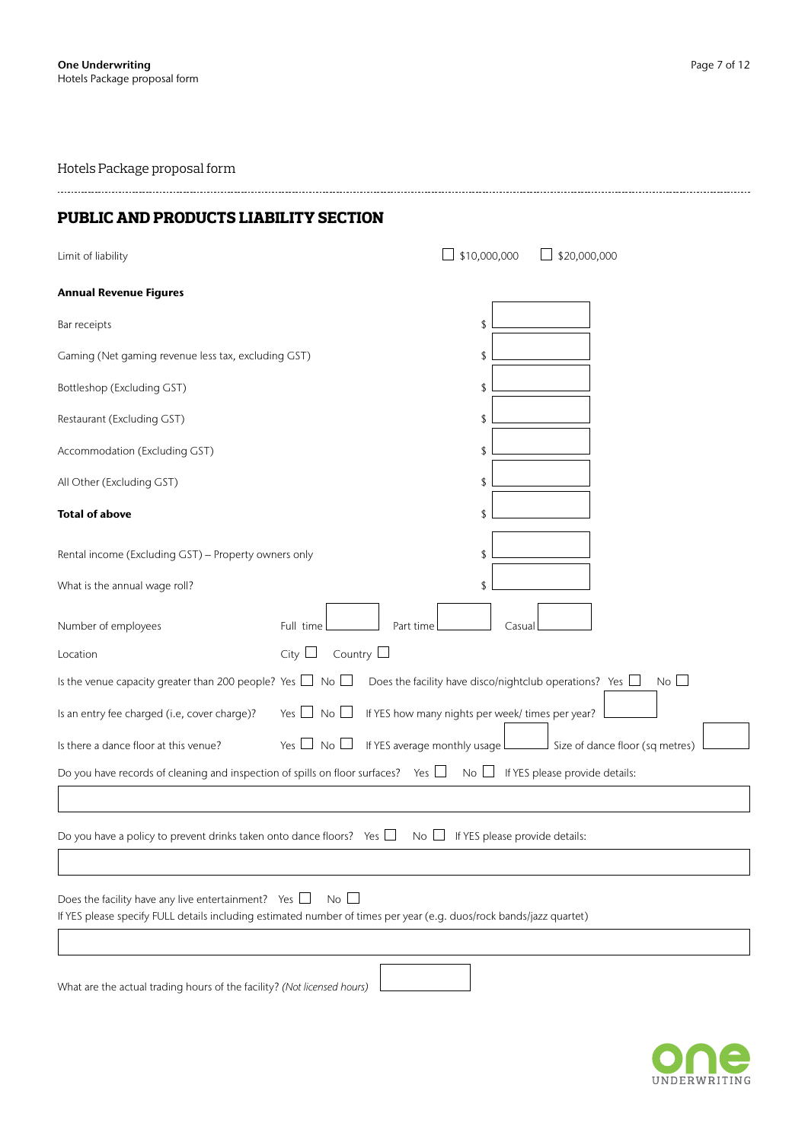# **PUBLIC AND PRODUCTS LIABILITY SECTION**

| Limit of liability                                                                                                                                                                              | \$10,000,000<br>$\Box$ \$20,000,000                                          |  |  |
|-------------------------------------------------------------------------------------------------------------------------------------------------------------------------------------------------|------------------------------------------------------------------------------|--|--|
| <b>Annual Revenue Figures</b>                                                                                                                                                                   |                                                                              |  |  |
| Bar receipts                                                                                                                                                                                    | \$                                                                           |  |  |
| Gaming (Net gaming revenue less tax, excluding GST)                                                                                                                                             | \$                                                                           |  |  |
| Bottleshop (Excluding GST)                                                                                                                                                                      | \$                                                                           |  |  |
| Restaurant (Excluding GST)                                                                                                                                                                      | \$                                                                           |  |  |
| Accommodation (Excluding GST)                                                                                                                                                                   | \$                                                                           |  |  |
| All Other (Excluding GST)                                                                                                                                                                       | \$                                                                           |  |  |
| <b>Total of above</b>                                                                                                                                                                           | \$                                                                           |  |  |
| Rental income (Excluding GST) - Property owners only                                                                                                                                            | \$                                                                           |  |  |
| What is the annual wage roll?                                                                                                                                                                   | \$                                                                           |  |  |
| Number of employees<br>Part time<br>Full time                                                                                                                                                   | Casual                                                                       |  |  |
| Country $\Box$<br>City $\Box$<br>Location                                                                                                                                                       |                                                                              |  |  |
| Is the venue capacity greater than 200 people? Yes $\Box$ No $\Box$                                                                                                                             | $No$ $\Box$<br>Does the facility have disco/nightclub operations? Yes $\Box$ |  |  |
| Is an entry fee charged (i.e, cover charge)?<br>Yes $\Box$ No $\Box$                                                                                                                            | If YES how many nights per week/ times per year?                             |  |  |
| Yes $\Box$ No $\Box$<br>Is there a dance floor at this venue?                                                                                                                                   | If YES average monthly usage Size of dance floor (sq metres)                 |  |  |
| Do you have records of cleaning and inspection of spills on floor surfaces? Yes $\Box$                                                                                                          | If YES please provide details:<br>$No \Box$                                  |  |  |
|                                                                                                                                                                                                 |                                                                              |  |  |
| Do you have a policy to prevent drinks taken onto dance floors? Yes $\Box$<br>$No \Box$                                                                                                         | If YES please provide details:                                               |  |  |
|                                                                                                                                                                                                 |                                                                              |  |  |
| $No$ $\Box$<br>Does the facility have any live entertainment? Yes $\Box$<br>If YES please specify FULL details including estimated number of times per year (e.g. duos/rock bands/jazz quartet) |                                                                              |  |  |
| What are the actual trading hours of the facility? (Not licensed hours)                                                                                                                         |                                                                              |  |  |

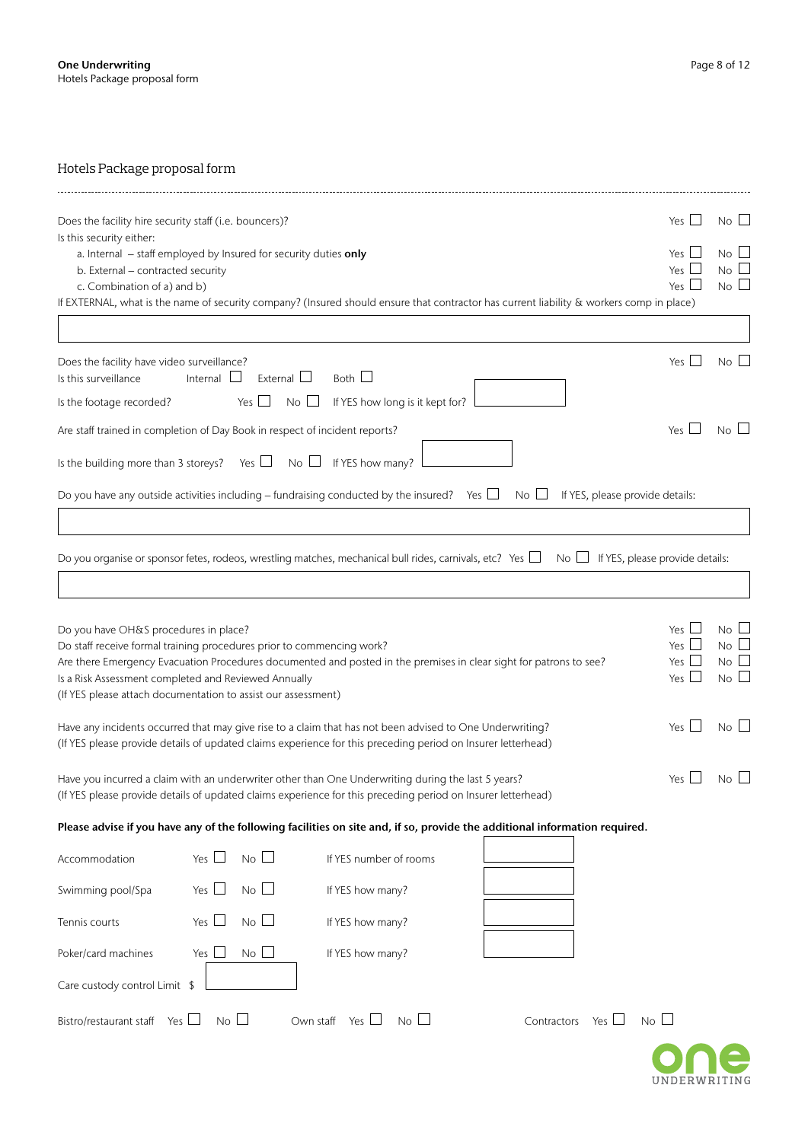| Does the facility hire security staff (i.e. bouncers)?                                                                                                                                                                                                                                                                                                        | Yes $\Box$                                           | $No$ $\Box$                             |
|---------------------------------------------------------------------------------------------------------------------------------------------------------------------------------------------------------------------------------------------------------------------------------------------------------------------------------------------------------------|------------------------------------------------------|-----------------------------------------|
| Is this security either:<br>a. Internal - staff employed by Insured for security duties only<br>b. External - contracted security<br>c. Combination of a) and b)                                                                                                                                                                                              | Yes $\Box$<br>Yes $\Box$<br>Yes $\square$            | $No \Box$<br>$No$ $\Box$<br>$No$ $\Box$ |
| If EXTERNAL, what is the name of security company? (Insured should ensure that contractor has current liability & workers comp in place)                                                                                                                                                                                                                      |                                                      |                                         |
| Does the facility have video surveillance?<br>External $\Box$<br>Both $\Box$<br>Is this surveillance<br>Internal $\Box$                                                                                                                                                                                                                                       | Yes $\Box$                                           | No                                      |
| If YES how long is it kept for?<br>Is the footage recorded?<br>$No$ $\Box$<br>Yes $\Box$                                                                                                                                                                                                                                                                      |                                                      |                                         |
| Are staff trained in completion of Day Book in respect of incident reports?                                                                                                                                                                                                                                                                                   | Yes                                                  | $No$ $\Box$                             |
| Is the building more than 3 storeys? Yes $\Box$<br>If YES how many?<br>$No \Box$<br>Do you have any outside activities including – fundraising conducted by the insured? Yes $\Box$<br>If YES, please provide details:<br>$No$ $\Box$                                                                                                                         |                                                      |                                         |
| Do you organise or sponsor fetes, rodeos, wrestling matches, mechanical bull rides, carnivals, etc? Yes $\Box$<br>No $\Box$ If YES, please provide details:                                                                                                                                                                                                   |                                                      |                                         |
| Do you have OH&S procedures in place?<br>Do staff receive formal training procedures prior to commencing work?<br>Are there Emergency Evacuation Procedures documented and posted in the premises in clear sight for patrons to see?<br>Is a Risk Assessment completed and Reviewed Annually<br>(If YES please attach documentation to assist our assessment) | Yes $\Box$<br>Yes $\Box$<br>Yes $\Box$<br>Yes $\Box$ | $No$ $\Box$<br>No l<br>No<br>No         |
| Have any incidents occurred that may give rise to a claim that has not been advised to One Underwriting?<br>(If YES please provide details of updated claims experience for this preceding period on Insurer letterhead)                                                                                                                                      | Yes $\Box$                                           | No L                                    |
| Have you incurred a claim with an underwriter other than One Underwriting during the last 5 years?<br>(If YES please provide details of updated claims experience for this preceding period on Insurer letterhead)                                                                                                                                            | Yes $\Box$                                           | $No \Box$                               |
| Please advise if you have any of the following facilities on site and, if so, provide the additional information required.                                                                                                                                                                                                                                    |                                                      |                                         |
| No<br>Yes $\Box$<br>If YES number of rooms<br>Accommodation                                                                                                                                                                                                                                                                                                   |                                                      |                                         |
| Yes $\Box$<br>No<br>Swimming pool/Spa<br>If YES how many?                                                                                                                                                                                                                                                                                                     |                                                      |                                         |
| Yes $\Box$<br>$No$ $\Box$<br>Tennis courts<br>If YES how many?                                                                                                                                                                                                                                                                                                |                                                      |                                         |
| No<br>Yes $\Box$<br>Poker/card machines<br>If YES how many?                                                                                                                                                                                                                                                                                                   |                                                      |                                         |
| Care custody control Limit \$                                                                                                                                                                                                                                                                                                                                 |                                                      |                                         |
| No<br>Bistro/restaurant staff Yes $\square$<br>No<br>Own staff Yes $\Box$<br>Yes $\Box$<br>Contractors                                                                                                                                                                                                                                                        | $No$ $\Box$                                          |                                         |
|                                                                                                                                                                                                                                                                                                                                                               |                                                      |                                         |

UNDERWRITING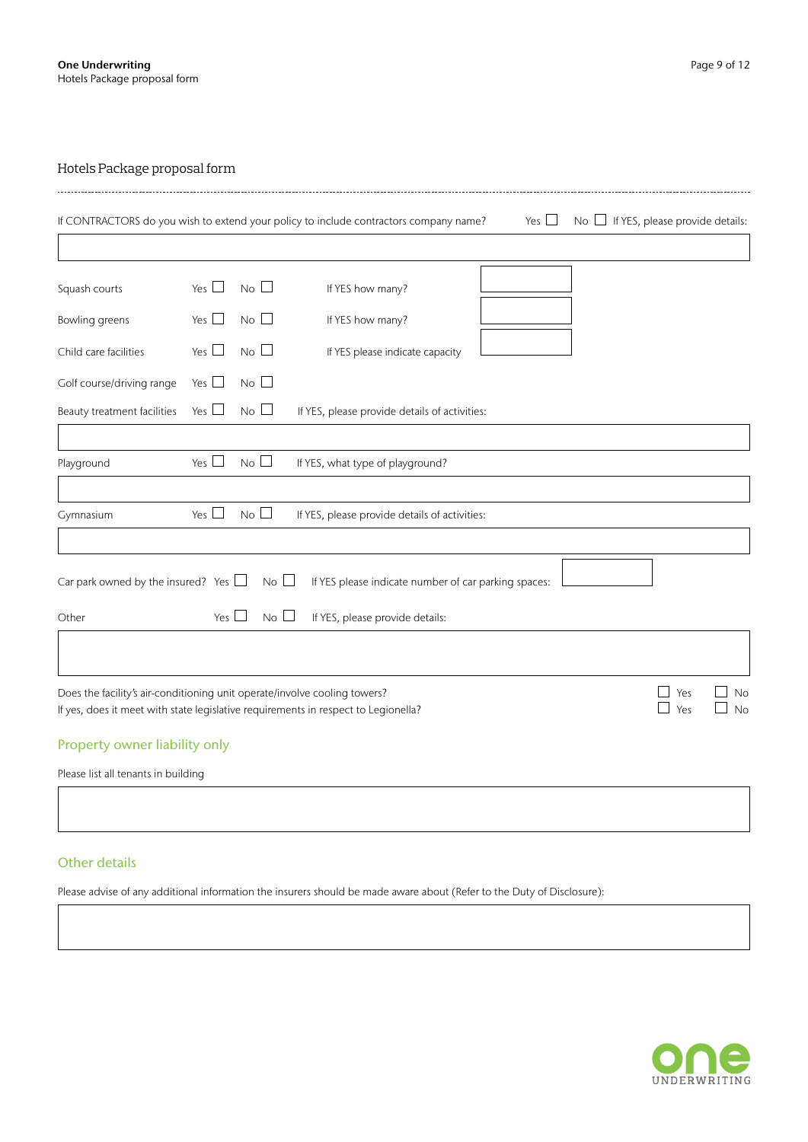|                                                                           |            |                 | If CONTRACTORS do you wish to extend your policy to include contractors company name? | Yes $\Box$ | No $\Box$ If YES, please provide details: |                 |
|---------------------------------------------------------------------------|------------|-----------------|---------------------------------------------------------------------------------------|------------|-------------------------------------------|-----------------|
| Squash courts                                                             | Yes $\Box$ | $No$ $\Box$     | If YES how many?                                                                      |            |                                           |                 |
| Bowling greens                                                            | Yes $\Box$ | $No$ $\Box$     | If YES how many?                                                                      |            |                                           |                 |
| Child care facilities                                                     | Yes $\Box$ | $No$ $\Box$     | If YES please indicate capacity                                                       |            |                                           |                 |
| Golf course/driving range                                                 | Yes $\Box$ | $No$ $\Box$     |                                                                                       |            |                                           |                 |
| Beauty treatment facilities                                               | Yes $\Box$ | $No$ $\Box$     | If YES, please provide details of activities:                                         |            |                                           |                 |
|                                                                           |            |                 |                                                                                       |            |                                           |                 |
| Playground                                                                | Yes $\Box$ | $No$ $\Box$     | If YES, what type of playground?                                                      |            |                                           |                 |
| Gymnasium                                                                 | Yes $\Box$ | No              | If YES, please provide details of activities:                                         |            |                                           |                 |
|                                                                           |            |                 |                                                                                       |            |                                           |                 |
| Car park owned by the insured? Yes $\Box$                                 |            | $No$ $\Box$     | If YES please indicate number of car parking spaces:                                  |            |                                           |                 |
| Other                                                                     | Yes $\Box$ | No <sup>2</sup> | If YES, please provide details:                                                       |            |                                           |                 |
|                                                                           |            |                 |                                                                                       |            |                                           |                 |
| Does the facility's air-conditioning unit operate/involve cooling towers? |            |                 | If yes, does it meet with state legislative requirements in respect to Legionella?    |            | Yes<br>Yes                                | <b>No</b><br>No |

# Property owner liability only

Please list all tenants in building

# Other details

Please advise of any additional information the insurers should be made aware about (Refer to the Duty of Disclosure):

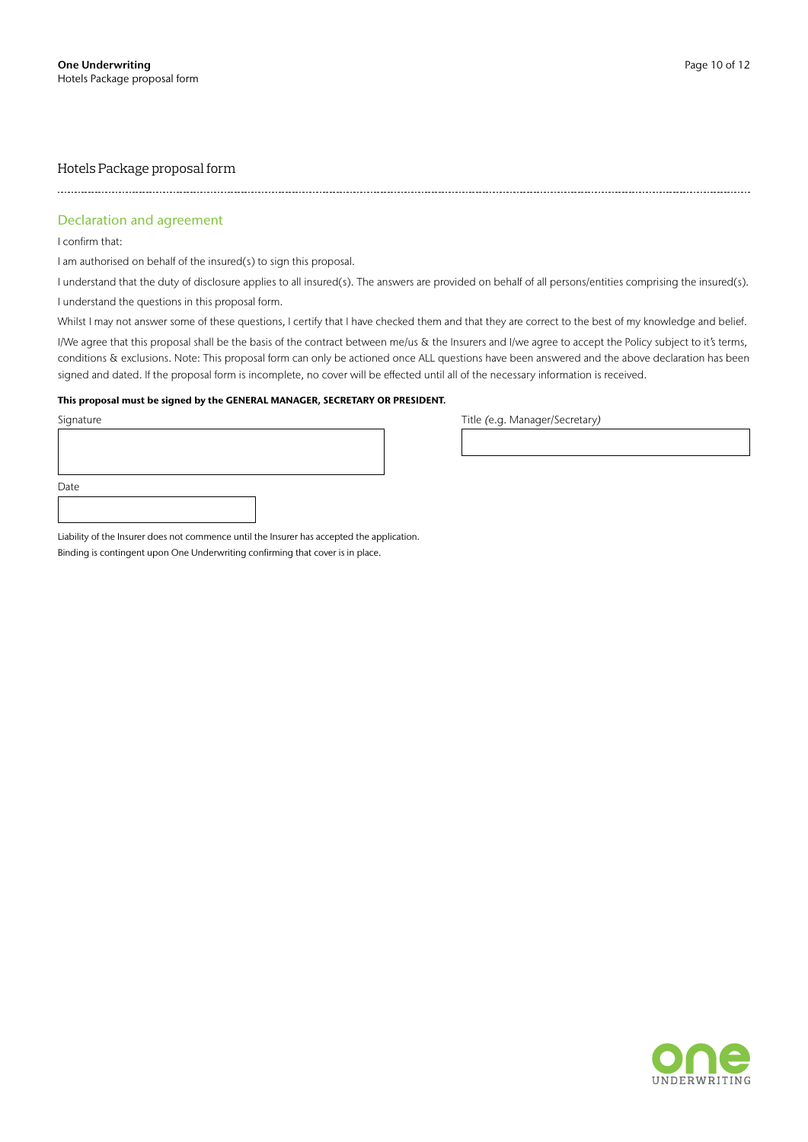--------------------------------------

## Declaration and agreement

I confirm that:

I

I am authorised on behalf of the insured(s) to sign this proposal.

I understand that the duty of disclosure applies to all insured(s). The answers are provided on behalf of all persons/entities comprising the insured(s).

I understand the questions in this proposal form.

Whilst I may not answer some of these questions, I certify that I have checked them and that they are correct to the best of my knowledge and belief.

I/We agree that this proposal shall be the basis of the contract between me/us & the Insurers and I/we agree to accept the Policy subject to it's terms, conditions & exclusions. Note: This proposal form can only be actioned once ALL questions have been answered and the above declaration has been signed and dated. If the proposal form is incomplete, no cover will be effected until all of the necessary information is received.

#### This proposal must be signed by the GENERAL MANAGER, SECRETARY OR PRESIDENT.

| Signature |  |  |
|-----------|--|--|
|           |  |  |
|           |  |  |
|           |  |  |
| Date      |  |  |
|           |  |  |

Title *(e.g. Manager/Secretary)* 

Liability of the Insurer does not commence until the Insurer has accepted the application.

Binding is contingent upon One Underwriting confirming that cover is in place.

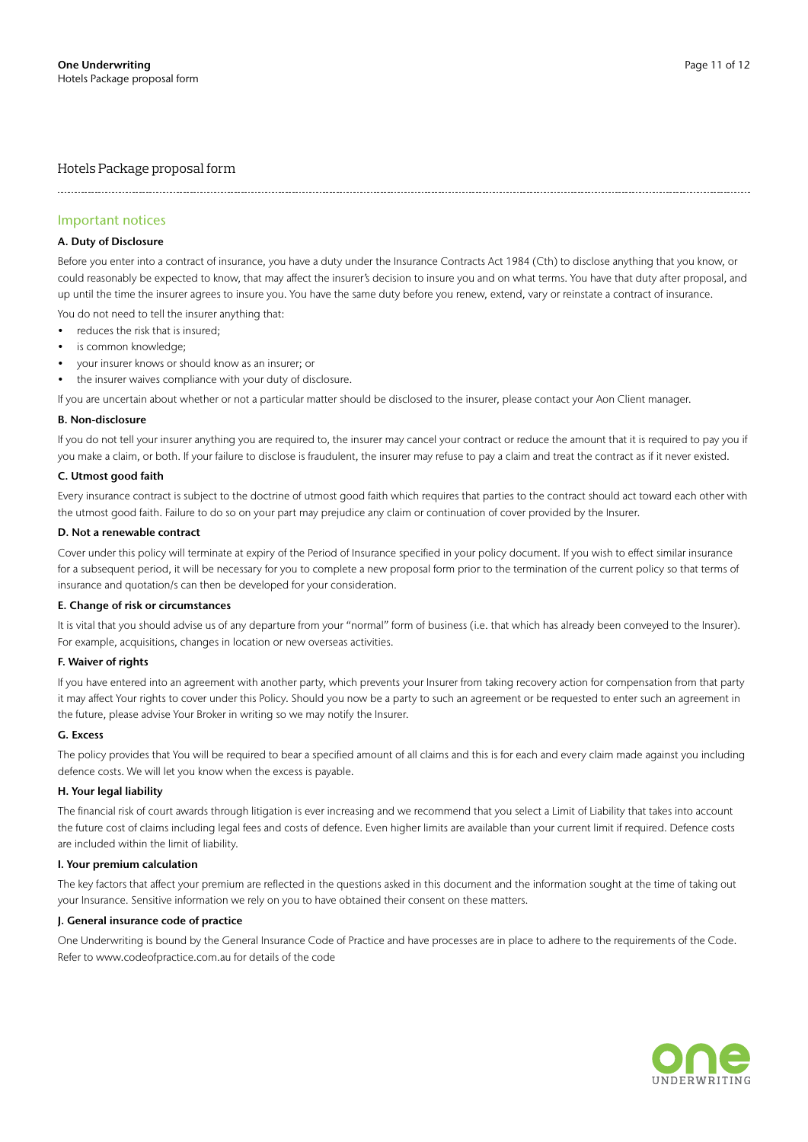## Important notices

#### A. Duty of Disclosure

Before you enter into a contract of insurance, you have a duty under the Insurance Contracts Act 1984 (Cth) to disclose anything that you know, or could reasonably be expected to know, that may affect the insurer's decision to insure you and on what terms. You have that duty after proposal, and up until the time the insurer agrees to insure you. You have the same duty before you renew, extend, vary or reinstate a contract of insurance.

You do not need to tell the insurer anything that:

- reduces the risk that is insured;
- is common knowledge;
- your insurer knows or should know as an insurer; or
- the insurer waives compliance with your duty of disclosure.

If you are uncertain about whether or not a particular matter should be disclosed to the insurer, please contact your Aon Client manager.

#### B. Non-disclosure

If you do not tell your insurer anything you are required to, the insurer may cancel your contract or reduce the amount that it is required to pay you if you make a claim, or both. If your failure to disclose is fraudulent, the insurer may refuse to pay a claim and treat the contract as if it never existed.

#### C. Utmost good faith

Every insurance contract is subject to the doctrine of utmost good faith which requires that parties to the contract should act toward each other with the utmost good faith. Failure to do so on your part may prejudice any claim or continuation of cover provided by the Insurer.

#### D. Not a renewable contract

Cover under this policy will terminate at expiry of the Period of Insurance specified in your policy document. If you wish to effect similar insurance for a subsequent period, it will be necessary for you to complete a new proposal form prior to the termination of the current policy so that terms of insurance and quotation/s can then be developed for your consideration.

#### E. Change of risk or circumstances

It is vital that you should advise us of any departure from your "normal" form of business (i.e. that which has already been conveyed to the Insurer). For example, acquisitions, changes in location or new overseas activities.

#### F. Waiver of rights

If you have entered into an agreement with another party, which prevents your Insurer from taking recovery action for compensation from that party it may affect Your rights to cover under this Policy. Should you now be a party to such an agreement or be requested to enter such an agreement in the future, please advise Your Broker in writing so we may notify the Insurer.

#### G. Excess

The policy provides that You will be required to bear a specified amount of all claims and this is for each and every claim made against you including defence costs. We will let you know when the excess is payable.

#### H. Your legal liability

The financial risk of court awards through litigation is ever increasing and we recommend that you select a Limit of Liability that takes into account the future cost of claims including legal fees and costs of defence. Even higher limits are available than your current limit if required. Defence costs are included within the limit of liability.

#### I. Your premium calculation

The key factors that affect your premium are reflected in the questions asked in this document and the information sought at the time of taking out your Insurance. Sensitive information we rely on you to have obtained their consent on these matters.

#### J. General insurance code of practice

One Underwriting is bound by the General Insurance Code of Practice and have processes are in place to adhere to the requirements of the Code. Refer to www.codeofpractice.com.au for details of the code